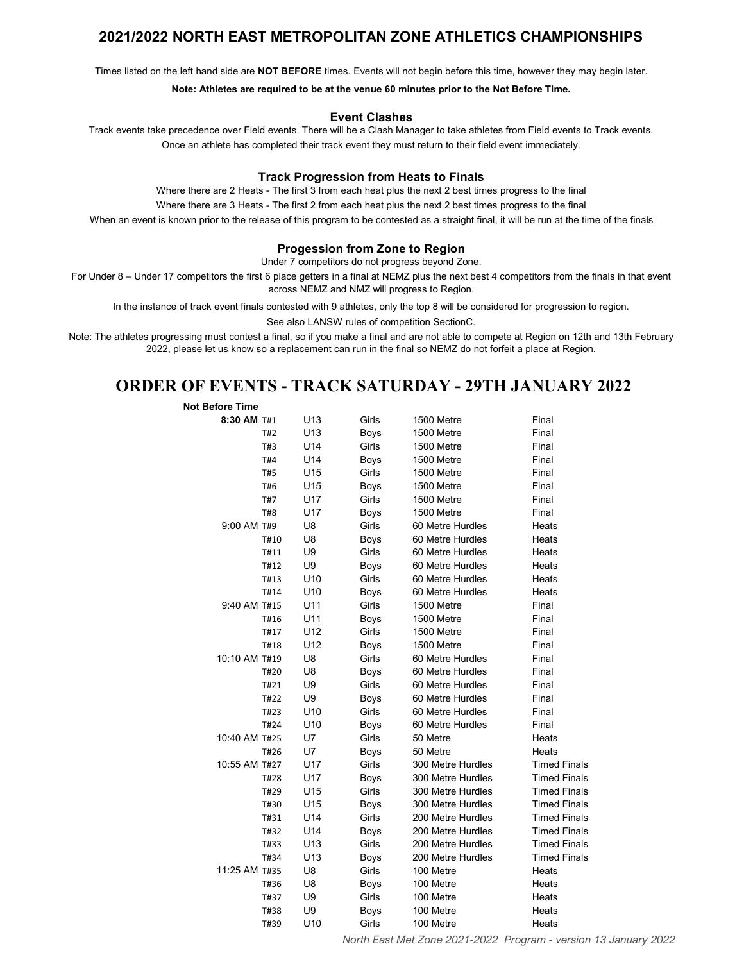### 2021/2022 NORTH EAST METROPOLITAN ZONE ATHLETICS CHAMPIONSHIPS

Times listed on the left hand side are NOT BEFORE times. Events will not begin before this time, however they may begin later.

Note: Athletes are required to be at the venue 60 minutes prior to the Not Before Time.

#### Event Clashes

Track events take precedence over Field events. There will be a Clash Manager to take athletes from Field events to Track events. Once an athlete has completed their track event they must return to their field event immediately.

#### Track Progression from Heats to Finals

Where there are 2 Heats - The first 3 from each heat plus the next 2 best times progress to the final

Where there are 3 Heats - The first 2 from each heat plus the next 2 best times progress to the final

When an event is known prior to the release of this program to be contested as a straight final, it will be run at the time of the finals

### Progession from Zone to Region

Under 7 competitors do not progress beyond Zone.

For Under 8 – Under 17 competitors the first 6 place getters in a final at NEMZ plus the next best 4 competitors from the finals in that event across NEMZ and NMZ will progress to Region.

In the instance of track event finals contested with 9 athletes, only the top 8 will be considered for progression to region.

See also LANSW rules of competition SectionC.

Note: The athletes progressing must contest a final, so if you make a final and are not able to compete at Region on 12th and 13th February 2022, please let us know so a replacement can run in the final so NEMZ do not forfeit a place at Region.

### ORDER OF EVENTS - TRACK SATURDAY - 29TH JANUARY 2022

| Not Before Time |  |
|-----------------|--|
| 8:30 AM T#1     |  |
| T#2             |  |

| 8:30 AM T#1   |            | U <sub>13</sub> | Girls       | 1500 Metre        | Final               |
|---------------|------------|-----------------|-------------|-------------------|---------------------|
|               | T#2        | U <sub>13</sub> | Boys        | 1500 Metre        | Final               |
|               | T#3        | U14             | Girls       | 1500 Metre        | Final               |
|               | T#4        | U14             | Boys        | 1500 Metre        | Final               |
|               | T#5        | U <sub>15</sub> | Girls       | 1500 Metre        | Final               |
|               | T#6        | U15             | Boys        | 1500 Metre        | Final               |
|               | T#7        | <b>U17</b>      | Girls       | 1500 Metre        | Final               |
|               | <b>T#8</b> | <b>U17</b>      | Boys        | 1500 Metre        | Final               |
| 9:00 AM T#9   |            | U8              | Girls       | 60 Metre Hurdles  | Heats               |
|               | T#10       | U8              | Boys        | 60 Metre Hurdles  | Heats               |
|               | T#11       | U9              | Girls       | 60 Metre Hurdles  | Heats               |
|               | T#12       | U9              | Boys        | 60 Metre Hurdles  | Heats               |
|               | T#13       | U <sub>10</sub> | Girls       | 60 Metre Hurdles  | Heats               |
|               | T#14       | U <sub>10</sub> | Boys        | 60 Metre Hurdles  | Heats               |
| 9:40 AM T#15  |            | U11             | Girls       | 1500 Metre        | Final               |
|               | T#16       | U11             | Boys        | 1500 Metre        | Final               |
|               | T#17       | U <sub>12</sub> | Girls       | 1500 Metre        | Final               |
|               | T#18       | U12             | Boys        | 1500 Metre        | Final               |
| 10:10 AM T#19 |            | U8              | Girls       | 60 Metre Hurdles  | Final               |
|               | T#20       | U8              | <b>Boys</b> | 60 Metre Hurdles  | Final               |
|               | T#21       | U9              | Girls       | 60 Metre Hurdles  | Final               |
|               | T#22       | U9              | Boys        | 60 Metre Hurdles  | Final               |
|               | T#23       | U <sub>10</sub> | Girls       | 60 Metre Hurdles  | Final               |
|               | T#24       | U <sub>10</sub> | Boys        | 60 Metre Hurdles  | Final               |
| 10:40 AM T#25 |            | U7              | Girls       | 50 Metre          | Heats               |
|               | T#26       | U7              | <b>Boys</b> | 50 Metre          | Heats               |
| 10:55 AM T#27 |            | U17             | Girls       | 300 Metre Hurdles | <b>Timed Finals</b> |
|               | T#28       | U17             | Boys        | 300 Metre Hurdles | <b>Timed Finals</b> |
|               | T#29       | U <sub>15</sub> | Girls       | 300 Metre Hurdles | <b>Timed Finals</b> |
|               | T#30       | U15             | Boys        | 300 Metre Hurdles | <b>Timed Finals</b> |
|               | T#31       | U14             | Girls       | 200 Metre Hurdles | <b>Timed Finals</b> |
|               | T#32       | U14             | Boys        | 200 Metre Hurdles | <b>Timed Finals</b> |
|               | T#33       | U <sub>13</sub> | Girls       | 200 Metre Hurdles | <b>Timed Finals</b> |
|               | T#34       | U <sub>13</sub> | Boys        | 200 Metre Hurdles | <b>Timed Finals</b> |
| 11:25 AM T#35 |            | U8              | Girls       | 100 Metre         | Heats               |
|               | T#36       | U8              | Boys        | 100 Metre         | Heats               |
|               | T#37       | U9              | Girls       | 100 Metre         | Heats               |
|               | T#38       | U9              | <b>Boys</b> | 100 Metre         | Heats               |
|               | T#39       | U <sub>10</sub> | Girls       | 100 Metre         | Heats               |

North East Met Zone 2021-2022 Program - version 13 January 2022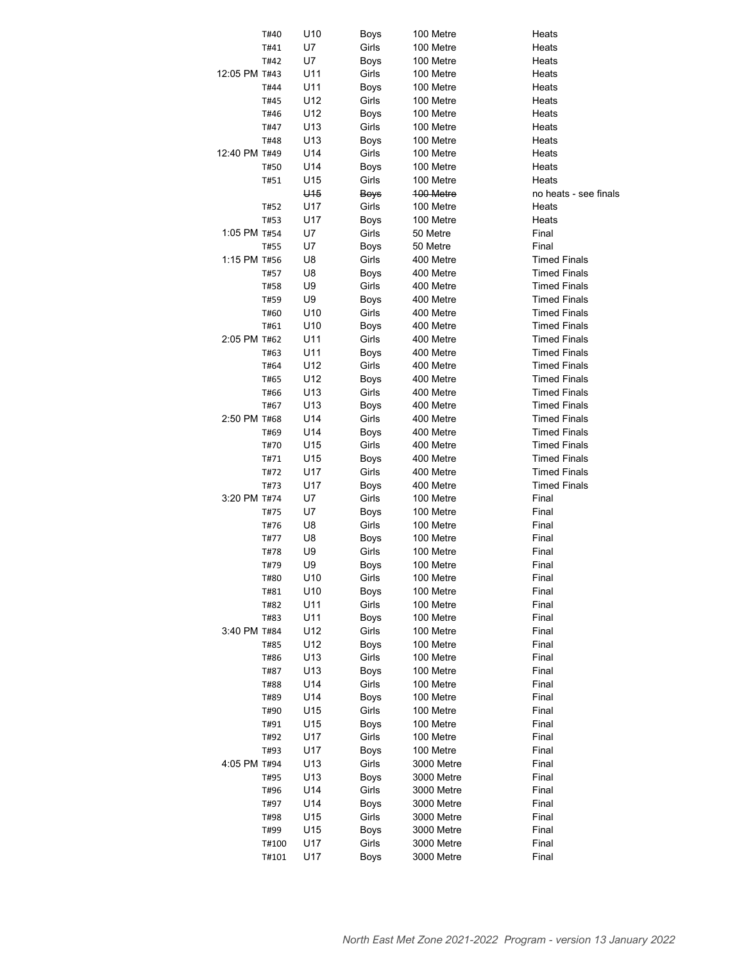|               | T#40  | U10             | Boys          | 100 Metre  | Heats                 |
|---------------|-------|-----------------|---------------|------------|-----------------------|
|               | T#41  | U7              | Girls         | 100 Metre  | Heats                 |
|               | T#42  | U7              | Boys          | 100 Metre  | Heats                 |
| 12:05 PM T#43 |       | U11             | Girls         | 100 Metre  | Heats                 |
|               | T#44  | U11             | Boys          | 100 Metre  | Heats                 |
|               | T#45  | U12             | Girls         | 100 Metre  | Heats                 |
|               | T#46  | U12             | Boys          | 100 Metre  | Heats                 |
|               | T#47  | U13             | Girls         | 100 Metre  | Heats                 |
|               | T#48  | U13             | Boys          | 100 Metre  | Heats                 |
| 12:40 PM T#49 |       | U14             | Girls         |            |                       |
|               |       |                 |               | 100 Metre  | Heats<br>Heats        |
|               | T#50  | U14             | Boys          | 100 Metre  |                       |
|               | T#51  | U15             | Girls         | 100 Metre  | Heats                 |
|               |       | U <sub>15</sub> | Boys          | 100 Metre  | no heats - see finals |
|               | T#52  | U17             | Girls         | 100 Metre  | Heats                 |
|               | T#53  | U17             | Boys          | 100 Metre  | Heats                 |
| 1:05 PM T#54  |       | U7              | Girls         | 50 Metre   | Final                 |
|               | T#55  | U7              | Boys          | 50 Metre   | Final                 |
| 1:15 PM T#56  |       | U8              | Girls         | 400 Metre  | <b>Timed Finals</b>   |
|               | T#57  | U8              | Boys          | 400 Metre  | <b>Timed Finals</b>   |
|               | T#58  | U9              | Girls         | 400 Metre  | <b>Timed Finals</b>   |
|               | T#59  | U9              | Boys          | 400 Metre  | <b>Timed Finals</b>   |
|               | T#60  | U <sub>10</sub> | Girls         | 400 Metre  | <b>Timed Finals</b>   |
|               | T#61  | U <sub>10</sub> | Boys          | 400 Metre  | <b>Timed Finals</b>   |
| 2:05 PM T#62  |       | U11             | Girls         | 400 Metre  | <b>Timed Finals</b>   |
|               | T#63  | U11             | Boys          | 400 Metre  | <b>Timed Finals</b>   |
|               | T#64  | U12             | Girls         | 400 Metre  | <b>Timed Finals</b>   |
|               | T#65  | U12             | Boys          | 400 Metre  | <b>Timed Finals</b>   |
|               | T#66  | U13             | Girls         | 400 Metre  | <b>Timed Finals</b>   |
|               | T#67  | U13             | Boys          | 400 Metre  | <b>Timed Finals</b>   |
| 2:50 PM T#68  |       | U14             | Girls         | 400 Metre  | <b>Timed Finals</b>   |
|               | T#69  | U14             | Boys          | 400 Metre  | <b>Timed Finals</b>   |
|               | T#70  | U15             | Girls         | 400 Metre  | <b>Timed Finals</b>   |
|               | T#71  | U15             | Boys          | 400 Metre  | <b>Timed Finals</b>   |
|               | T#72  | U17             | Girls         | 400 Metre  | <b>Timed Finals</b>   |
|               | T#73  | U17             | Boys          | 400 Metre  | <b>Timed Finals</b>   |
| 3:20 PM T#74  |       | U7              | Girls         | 100 Metre  | Final                 |
|               | T#75  | U7              | Boys          | 100 Metre  | Final                 |
|               | T#76  | U8              | Girls         | 100 Metre  | Final                 |
|               | T#77  | U8              |               | 100 Metre  | Final                 |
|               |       | U9              | Boys<br>Girls | 100 Metre  | Final                 |
|               | T#78  | U9              |               |            |                       |
|               | T#79  |                 | Boys          | 100 Metre  | Final                 |
|               | T#80  | U10             | Girls         | 100 Metre  | Final                 |
|               | T#81  | U10             | Boys          | 100 Metre  | Final                 |
|               | T#82  | U11             | Girls         | 100 Metre  | Final                 |
|               | T#83  | U11             | Boys          | 100 Metre  | Final                 |
| 3:40 PM T#84  |       | U12             | Girls         | 100 Metre  | Final                 |
|               | T#85  | U12             | Boys          | 100 Metre  | Final                 |
|               | T#86  | U13             | Girls         | 100 Metre  | Final                 |
|               | T#87  | U13             | <b>Boys</b>   | 100 Metre  | Final                 |
|               | T#88  | U14             | Girls         | 100 Metre  | Final                 |
|               | T#89  | U14             | Boys          | 100 Metre  | Final                 |
|               | T#90  | U15             | Girls         | 100 Metre  | Final                 |
|               | T#91  | U15             | Boys          | 100 Metre  | Final                 |
|               | T#92  | U17             | Girls         | 100 Metre  | Final                 |
|               | T#93  | U17             | Boys          | 100 Metre  | Final                 |
| 4:05 PM T#94  |       | U13             | Girls         | 3000 Metre | Final                 |
|               | T#95  | U13             | Boys          | 3000 Metre | Final                 |
|               | T#96  | U14             | Girls         | 3000 Metre | Final                 |
|               | T#97  | U14             | Boys          | 3000 Metre | Final                 |
|               | T#98  | U15             | Girls         | 3000 Metre | Final                 |
|               | T#99  | U15             | Boys          | 3000 Metre | Final                 |
|               | T#100 | U17             | Girls         | 3000 Metre | Final                 |
|               | T#101 | U17             | Boys          | 3000 Metre | Final                 |
|               |       |                 |               |            |                       |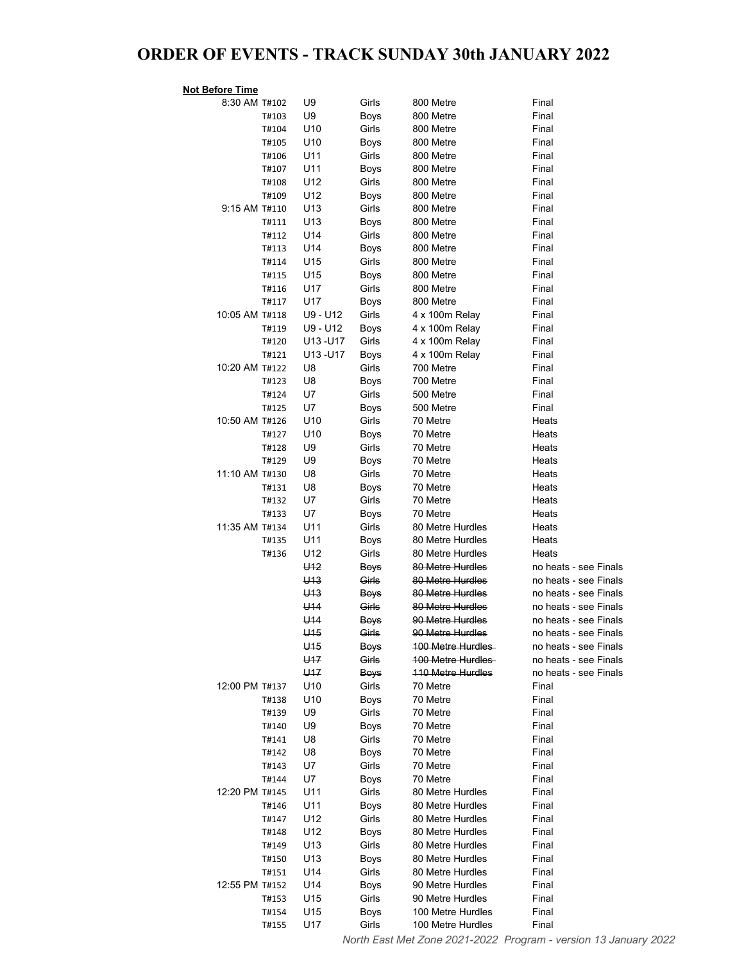## ORDER OF EVENTS - TRACK SUNDAY 30th JANUARY 2022

| <b>Not Before Time</b> |       |                 |               |                                      |                       |
|------------------------|-------|-----------------|---------------|--------------------------------------|-----------------------|
| 8:30 AM T#102          |       | U9              | Girls         | 800 Metre                            | Final                 |
|                        | T#103 | U9              | Boys          | 800 Metre                            | Final                 |
|                        | T#104 | U10             | Girls         | 800 Metre                            | Final                 |
|                        | T#105 | U10             | Boys          | 800 Metre                            | Final                 |
|                        | T#106 | U11             | Girls         | 800 Metre                            | Final                 |
|                        | T#107 | U11             | Boys          | 800 Metre                            | Final                 |
|                        | T#108 | U12             | Girls         | 800 Metre                            | Final                 |
|                        | T#109 | U12             | Boys          | 800 Metre                            | Final                 |
| 9:15 AM T#110          |       | U <sub>13</sub> | Girls         | 800 Metre                            | Final                 |
|                        | T#111 | U <sub>13</sub> | Boys          | 800 Metre                            | Final                 |
|                        | T#112 | U14             | Girls         | 800 Metre                            | Final                 |
|                        | T#113 | U14             | Boys          | 800 Metre                            | Final                 |
|                        | T#114 | U <sub>15</sub> | Girls         | 800 Metre                            | Final                 |
|                        | T#115 | U <sub>15</sub> | Boys          | 800 Metre                            | Final                 |
|                        | T#116 | U17             | Girls         | 800 Metre                            | Final                 |
|                        | T#117 | U17             | Boys          | 800 Metre                            | Final                 |
| 10:05 AM T#118         |       | U9 - U12        | Girls         | 4 x 100m Relay                       | Final                 |
|                        | T#119 | U9 - U12        | Boys          | 4 x 100m Relay                       | Final                 |
|                        | T#120 | U13-U17         | Girls         | 4 x 100m Relay                       | Final                 |
|                        | T#121 | U13-U17         | Boys          | 4 x 100m Relay                       | Final                 |
| 10:20 AM T#122         |       | U8              | Girls         | 700 Metre                            | Final                 |
|                        | T#123 | U8              | Boys          | 700 Metre                            | Final                 |
|                        | T#124 | U7              | Girls         | 500 Metre                            | Final                 |
|                        | T#125 | U7              | Boys          | 500 Metre                            | Final                 |
| 10:50 AM T#126         |       | U <sub>10</sub> | Girls         | 70 Metre                             | Heats                 |
|                        | T#127 | U10             | Boys          | 70 Metre                             | Heats                 |
|                        | T#128 | U9              | Girls         | 70 Metre                             | Heats                 |
|                        | T#129 | U9              | Boys          | 70 Metre                             | Heats                 |
| 11:10 AM T#130         |       | U8              | Girls         | 70 Metre                             | Heats                 |
|                        | T#131 | U8              | Boys          | 70 Metre                             | Heats                 |
|                        | T#132 | U7              | Girls         | 70 Metre                             | Heats                 |
|                        | T#133 | U7              | Boys          | 70 Metre                             | Heats                 |
| 11:35 AM T#134         |       | U11             | Girls         | 80 Metre Hurdles                     | Heats                 |
|                        | T#135 | U11<br>U12      | Boys<br>Girls | 80 Metre Hurdles<br>80 Metre Hurdles | Heats<br>Heats        |
|                        | T#136 | U <sub>12</sub> | <b>Boys</b>   | 80 Metre Hurdles                     | no heats - see Finals |
|                        |       | U <sub>13</sub> | Girls         | 80 Metre Hurdles                     | no heats - see Finals |
|                        |       | U <sub>13</sub> | <b>Boys</b>   | 80 Metre Hurdles                     | no heats - see Finals |
|                        |       | U <sub>14</sub> | Girls         | 80 Metre Hurdles                     | no heats - see Finals |
|                        |       | U <sub>14</sub> | <b>Boys</b>   | <del>90 Metre Hurdles</del>          | no heats - see Finals |
|                        |       | $U$ 15          | Girls         | <del>90 Metre Hurdles</del>          | no heats - see Finals |
|                        |       | U15             | <b>Boys</b>   | 100 Metre Hurdles                    | no heats - see Finals |
|                        |       | U <sub>17</sub> | Girls         | <b>100 Metre Hurdles</b>             | no heats - see Finals |
|                        |       | U <sub>17</sub> | <b>Boys</b>   | <b>110 Metre Hurdles</b>             | no heats - see Finals |
| 12:00 PM T#137         |       | U10             | Girls         | 70 Metre                             | Final                 |
|                        | T#138 | U10             | Boys          | 70 Metre                             | Final                 |
|                        | T#139 | U9              | Girls         | 70 Metre                             | Final                 |
|                        | T#140 | U9              | Boys          | 70 Metre                             | Final                 |
|                        | T#141 | U8              | Girls         | 70 Metre                             | Final                 |
|                        | T#142 | U8              | Boys          | 70 Metre                             | Final                 |
|                        | T#143 | U7              | Girls         | 70 Metre                             | Final                 |
|                        | T#144 | U7              | Boys          | 70 Metre                             | Final                 |
| 12:20 PM T#145         |       | U11             | Girls         | 80 Metre Hurdles                     | Final                 |
|                        | T#146 | U11             | Boys          | 80 Metre Hurdles                     | Final                 |
|                        | T#147 | U12             | Girls         | 80 Metre Hurdles                     | Final                 |
|                        | T#148 | U12             | Boys          | 80 Metre Hurdles                     | Final                 |
|                        | T#149 | U <sub>13</sub> | Girls         | 80 Metre Hurdles                     | Final                 |
|                        | T#150 | U13             | Boys          | 80 Metre Hurdles                     | Final                 |
|                        | T#151 | U14             | Girls         | 80 Metre Hurdles                     | Final                 |
| 12:55 PM T#152         |       | U14             | Boys          | 90 Metre Hurdles                     | Final                 |
|                        | T#153 | U15             | Girls         | 90 Metre Hurdles                     | Final                 |
|                        | T#154 | U15             | Boys          | 100 Metre Hurdles                    | Final                 |
|                        | T#155 | U17             | Girls         | 100 Metre Hurdles                    | Final                 |

North East Met Zone 2021-2022 Program - version 13 January 2022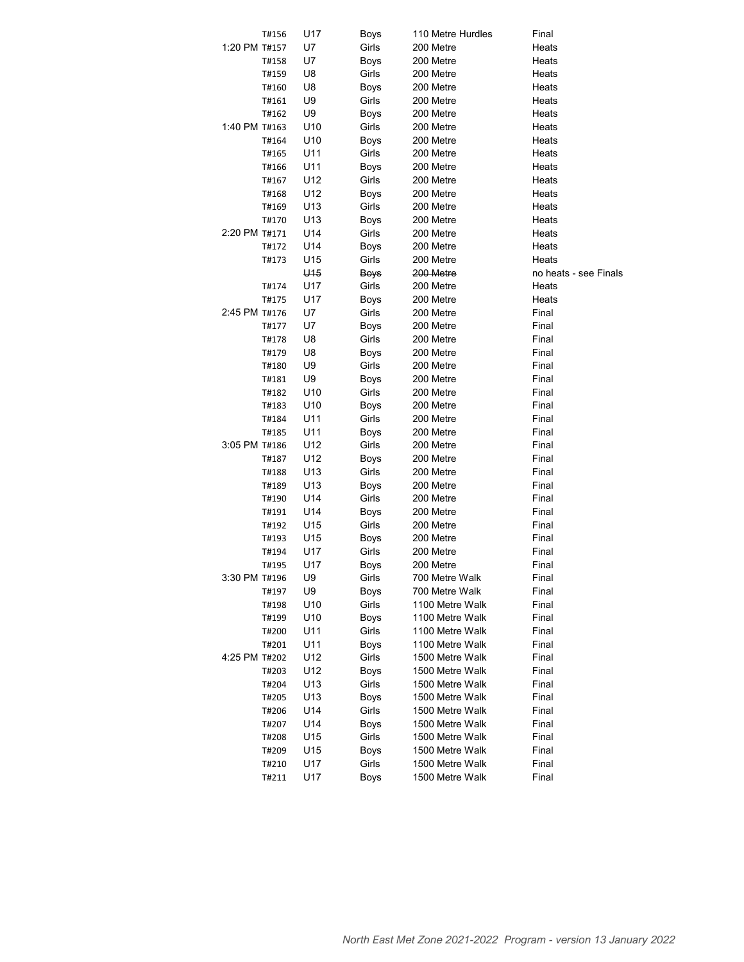|               | T#156 | U17             | Boys        | 110 Metre Hurdles | Final                 |
|---------------|-------|-----------------|-------------|-------------------|-----------------------|
| 1:20 PM T#157 |       | U7              | Girls       | 200 Metre         | Heats                 |
|               | T#158 | U7              | Boys        | 200 Metre         | Heats                 |
|               | T#159 | U8              | Girls       | 200 Metre         | Heats                 |
|               | T#160 | U8              | <b>Boys</b> | 200 Metre         | Heats                 |
|               | T#161 | U9              | Girls       | 200 Metre         | Heats                 |
|               | T#162 | U9              | Boys        | 200 Metre         | Heats                 |
| 1:40 PM T#163 |       | U <sub>10</sub> | Girls       | 200 Metre         | Heats                 |
|               | T#164 | U <sub>10</sub> | Boys        | 200 Metre         | Heats                 |
|               | T#165 | U11             | Girls       | 200 Metre         | Heats                 |
|               | T#166 | U11             | Boys        | 200 Metre         | Heats                 |
|               | T#167 | U12             | Girls       | 200 Metre         | Heats                 |
|               | T#168 | U12             | Boys        | 200 Metre         | Heats                 |
|               | T#169 | U13             | Girls       | 200 Metre         | Heats                 |
|               |       | U13             |             | 200 Metre         | Heats                 |
| 2:20 PM T#171 | T#170 |                 | Boys        |                   |                       |
|               |       | U14             | Girls       | 200 Metre         | Heats                 |
|               | T#172 | U14             | Boys        | 200 Metre         | Heats                 |
|               | T#173 | U15             | Girls       | 200 Metre         | Heats                 |
|               |       | U <sub>15</sub> | <b>Boys</b> | 200 Metre         | no heats - see Finals |
|               | T#174 | U17             | Girls       | 200 Metre         | Heats                 |
|               | T#175 | U17             | Boys        | 200 Metre         | Heats                 |
| 2:45 PM T#176 |       | U7              | Girls       | 200 Metre         | Final                 |
|               | T#177 | U7              | Boys        | 200 Metre         | Final                 |
|               | T#178 | U8              | Girls       | 200 Metre         | Final                 |
|               | T#179 | U8              | Boys        | 200 Metre         | Final                 |
|               | T#180 | U9              | Girls       | 200 Metre         | Final                 |
|               | T#181 | U9              | Boys        | 200 Metre         | Final                 |
|               | T#182 | U10             | Girls       | 200 Metre         | Final                 |
|               | T#183 | U10             | Boys        | 200 Metre         | Final                 |
|               | T#184 | U11             | Girls       | 200 Metre         | Final                 |
|               | T#185 | U11             | Boys        | 200 Metre         | Final                 |
| 3:05 PM T#186 |       | U12             | Girls       | 200 Metre         | Final                 |
|               | T#187 | U12             | Boys        | 200 Metre         | Final                 |
|               | T#188 | U13             | Girls       | 200 Metre         | Final                 |
|               | T#189 | U13             | Boys        | 200 Metre         | Final                 |
|               | T#190 | U14             | Girls       | 200 Metre         | Final                 |
|               | T#191 | U14             | Boys        | 200 Metre         | Final                 |
|               | T#192 | U15             | Girls       | 200 Metre         | Final                 |
|               | T#193 | U15             | Boys        | 200 Metre         | Final                 |
|               | T#194 | U17             | Girls       | 200 Metre         | Final                 |
|               | T#195 | U17             | Boys        | 200 Metre         | Final                 |
| 3:30 PM T#196 |       | U9              | Girls       | 700 Metre Walk    | Final                 |
|               | T#197 | U9              | Boys        | 700 Metre Walk    | Final                 |
|               | T#198 | U10             | Girls       | 1100 Metre Walk   | Final                 |
|               | T#199 | U10             | Boys        | 1100 Metre Walk   | Final                 |
|               | T#200 | U11             | Girls       | 1100 Metre Walk   | Final                 |
|               | T#201 | U11             | Boys        | 1100 Metre Walk   | Final                 |
| 4:25 PM T#202 |       | U12             | Girls       | 1500 Metre Walk   | Final                 |
|               | T#203 | U12             | Boys        | 1500 Metre Walk   | Final                 |
|               | T#204 | U13             | Girls       | 1500 Metre Walk   | Final                 |
|               | T#205 | U13             | Boys        | 1500 Metre Walk   | Final                 |
|               | T#206 | U14             | Girls       | 1500 Metre Walk   | Final                 |
|               | T#207 | U14             | Boys        | 1500 Metre Walk   | Final                 |
|               | T#208 | U15             | Girls       | 1500 Metre Walk   | Final                 |
|               | T#209 | U15             | Boys        | 1500 Metre Walk   | Final                 |
|               | T#210 | U17             | Girls       | 1500 Metre Walk   | Final                 |
|               | T#211 | U17             | Boys        | 1500 Metre Walk   | Final                 |
|               |       |                 |             |                   |                       |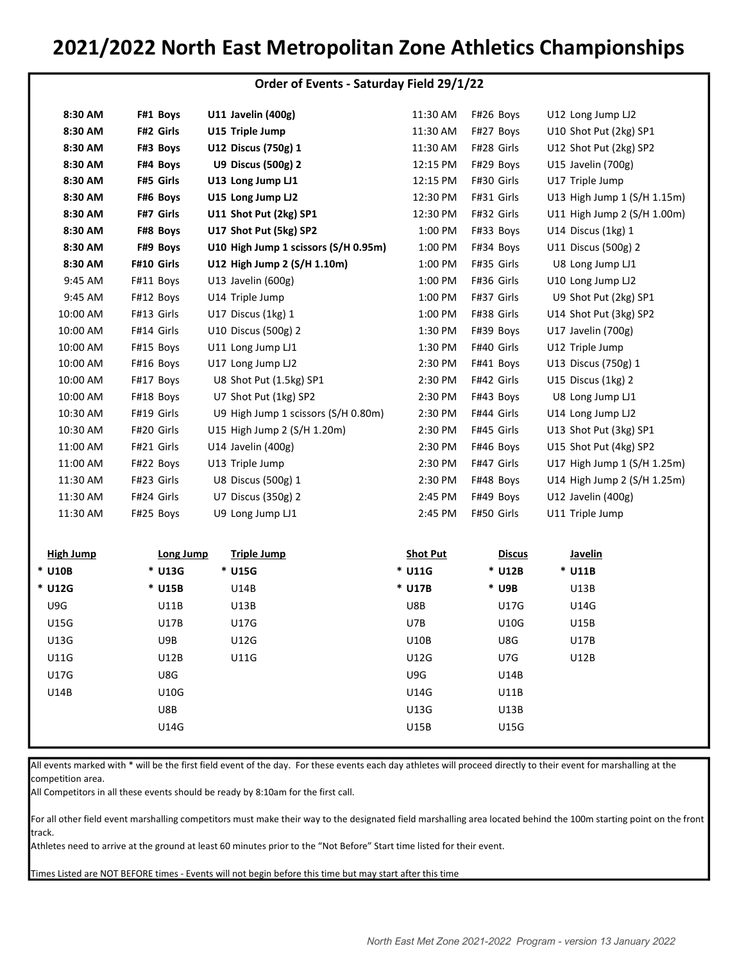# 2021/2022 North East Metropolitan Zone Athletics Championships

|             |            |                                      | Order of Events - Saturday Field 29/1/22 |               |                             |
|-------------|------------|--------------------------------------|------------------------------------------|---------------|-----------------------------|
| 8:30 AM     | F#1 Boys   | U11 Javelin (400g)                   | 11:30 AM                                 | F#26 Boys     | U12 Long Jump LJ2           |
| 8:30 AM     | F#2 Girls  | U15 Triple Jump                      | 11:30 AM                                 | F#27 Boys     | U10 Shot Put (2kg) SP1      |
| 8:30 AM     | F#3 Boys   | U12 Discus (750g) 1                  | 11:30 AM                                 | F#28 Girls    | U12 Shot Put (2kg) SP2      |
| 8:30 AM     | F#4 Boys   | U9 Discus (500g) 2                   | 12:15 PM                                 | F#29 Boys     | U15 Javelin (700g)          |
| 8:30 AM     | F#5 Girls  | U13 Long Jump LJ1                    | 12:15 PM                                 | F#30 Girls    | U17 Triple Jump             |
| 8:30 AM     | F#6 Boys   | U15 Long Jump LJ2                    | 12:30 PM                                 | F#31 Girls    | U13 High Jump 1 (S/H 1.15m) |
| 8:30 AM     | F#7 Girls  | U11 Shot Put (2kg) SP1               | 12:30 PM                                 | F#32 Girls    | U11 High Jump 2 (S/H 1.00m) |
| 8:30 AM     | F#8 Boys   | U17 Shot Put (5kg) SP2               | 1:00 PM                                  | F#33 Boys     | U14 Discus (1kg) 1          |
| 8:30 AM     | F#9 Boys   | U10 High Jump 1 scissors (S/H 0.95m) | 1:00 PM                                  | F#34 Boys     | U11 Discus (500g) 2         |
| 8:30 AM     | F#10 Girls | U12 High Jump 2 (S/H 1.10m)          | 1:00 PM                                  | F#35 Girls    | U8 Long Jump LJ1            |
| 9:45 AM     | F#11 Boys  | U13 Javelin (600g)                   | 1:00 PM                                  | F#36 Girls    | U10 Long Jump LJ2           |
| 9:45 AM     | F#12 Boys  | U14 Triple Jump                      | 1:00 PM                                  | F#37 Girls    | U9 Shot Put (2kg) SP1       |
| 10:00 AM    | F#13 Girls | U17 Discus (1kg) 1                   | 1:00 PM                                  | F#38 Girls    | U14 Shot Put (3kg) SP2      |
| 10:00 AM    | F#14 Girls | U10 Discus (500g) 2                  | 1:30 PM                                  | F#39 Boys     | U17 Javelin (700g)          |
| 10:00 AM    | F#15 Boys  | U11 Long Jump LJ1                    | 1:30 PM                                  | F#40 Girls    | U12 Triple Jump             |
| 10:00 AM    | F#16 Boys  | U17 Long Jump LJ2                    | 2:30 PM                                  | F#41 Boys     | U13 Discus (750g) 1         |
| 10:00 AM    | F#17 Boys  | U8 Shot Put (1.5kg) SP1              | 2:30 PM                                  | F#42 Girls    | U15 Discus (1kg) 2          |
| 10:00 AM    | F#18 Boys  | U7 Shot Put (1kg) SP2                | 2:30 PM                                  | F#43 Boys     | U8 Long Jump LJ1            |
| 10:30 AM    | F#19 Girls | U9 High Jump 1 scissors (S/H 0.80m)  | 2:30 PM                                  | F#44 Girls    | U14 Long Jump LJ2           |
| 10:30 AM    | F#20 Girls | U15 High Jump 2 (S/H 1.20m)          | 2:30 PM                                  | F#45 Girls    | U13 Shot Put (3kg) SP1      |
| 11:00 AM    | F#21 Girls | U14 Javelin (400g)                   | 2:30 PM                                  | F#46 Boys     | U15 Shot Put (4kg) SP2      |
| 11:00 AM    | F#22 Boys  | U13 Triple Jump                      | 2:30 PM                                  | F#47 Girls    | U17 High Jump 1 (S/H 1.25m) |
| 11:30 AM    | F#23 Girls | U8 Discus (500g) 1                   | 2:30 PM                                  | F#48 Boys     | U14 High Jump 2 (S/H 1.25m) |
| 11:30 AM    | F#24 Girls | U7 Discus (350g) 2                   | 2:45 PM                                  | F#49 Boys     | U12 Javelin (400g)          |
| 11:30 AM    | F#25 Boys  | U9 Long Jump LJ1                     | 2:45 PM                                  | F#50 Girls    | U11 Triple Jump             |
| High Jump   | Long Jump  | <b>Triple Jump</b>                   | <b>Shot Put</b>                          | <b>Discus</b> | Javelin                     |
| <b>U10B</b> | * U13G     | * U15G                               | * U11G                                   | * U12B        | * U11B                      |

|             | <u>_______</u> |        |        | <u>.</u><br>- - - - - - | - - - - - - - |  |
|-------------|----------------|--------|--------|-------------------------|---------------|--|
| * U10B      | * U13G         | * U15G | * U11G | * U12B                  | $*$ U11B      |  |
| * U12G      | * U15B         | U14B   | * U17B | * U9B                   | U13B          |  |
| U9G         | U11B           | U13B   | U8B    | <b>U17G</b>             | U14G          |  |
| <b>U15G</b> | <b>U17B</b>    | U17G   | U7B    | U10G                    | U15B          |  |
| U13G        | U9B            | U12G   |        | U8G<br><b>U10B</b>      | U17B          |  |
| <b>U11G</b> | U12B           | U11G   |        | U7G<br>U12G             | U12B          |  |
| <b>U17G</b> | U8G            |        | U9G    | U14B                    |               |  |
| U14B        | U10G           |        |        | U14G<br>U11B            |               |  |
|             | U8B            |        |        | U13G<br>U13B            |               |  |
|             | U14G           |        |        | U15G<br>U15B            |               |  |
|             |                |        |        |                         |               |  |

All events marked with \* will be the first field event of the day. For these events each day athletes will proceed directly to their event for marshalling at the competition area.

All Competitors in all these events should be ready by 8:10am for the first call.

For all other field event marshalling competitors must make their way to the designated field marshalling area located behind the 100m starting point on the front track.

Athletes need to arrive at the ground at least 60 minutes prior to the "Not Before" Start time listed for their event.

Times Listed are NOT BEFORE times - Events will not begin before this time but may start after this time